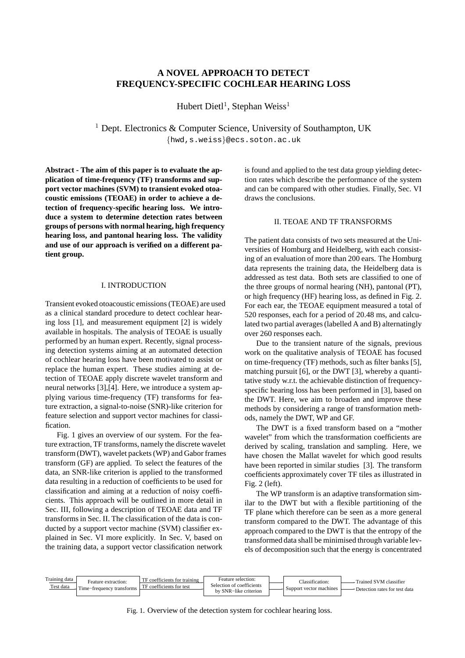# **A NOVEL APPROACH TO DETECT FREQUENCY-SPECIFIC COCHLEAR HEARING LOSS**

Hubert Dietl<sup>1</sup>, Stephan Weiss<sup>1</sup>

<sup>1</sup> Dept. Electronics & Computer Science, University of Southampton, UK {hwd,s.weiss}@ecs.soton.ac.uk

**Abstract - The aim of this paper is to evaluate the application of time-frequency (TF) transforms and support vector machines (SVM) to transient evoked otoacoustic emissions (TEOAE) in order to achieve a detection of frequency-specific hearing loss. We introduce a system to determine detection rates between groups of persons with normal hearing, high frequency hearing loss, and pantonal hearing loss. The validity and use of our approach is verified on a different patient group.**

#### I. INTRODUCTION

Transient evoked otoacoustic emissions (TEOAE) are used as a clinical standard procedure to detect cochlear hearing loss [1], and measurement equipment [2] is widely available in hospitals. The analysis of TEOAE is usually performed by an human expert. Recently, signal processing detection systems aiming at an automated detection of cochlear hearing loss have been motivated to assist or replace the human expert. These studies aiming at detection of TEOAE apply discrete wavelet transform and neural networks [3],[4]. Here, we introduce a system applying various time-frequency (TF) transforms for feature extraction, a signal-to-noise (SNR)-like criterion for feature selection and support vector machines for classification.

Fig. 1 gives an overview of our system. For the feature extraction, TF transforms, namely the discrete wavelet transform (DWT), wavelet packets(WP) and Gabor frames transform (GF) are applied. To select the features of the data, an SNR-like criterion is applied to the transformed data resulting in a reduction of coefficients to be used for classification and aiming at a reduction of noisy coefficients. This approach will be outlined in more detail in Sec. III, following a description of TEOAE data and TF transforms in Sec. II. The classification of the data is conducted by a support vector machine (SVM) classifier explained in Sec. VI more explicitly. In Sec. V, based on the training data, a support vector classification network

is found and applied to the test data group yielding detection rates which describe the performance of the system and can be compared with other studies. Finally, Sec. VI draws the conclusions.

## II. TEOAE AND TF TRANSFORMS

The patient data consists of two sets measured at the Universities of Homburg and Heidelberg, with each consisting of an evaluation of more than 200 ears. The Homburg data represents the training data, the Heidelberg data is addressed as test data. Both sets are classified to one of the three groups of normal hearing (NH), pantonal (PT), or high frequency (HF) hearing loss, as defined in Fig. 2. For each ear, the TEOAE equipment measured a total of 520 responses, each for a period of 20.48 ms, and calculated two partial averages(labelled A and B) alternatingly over 260 responses each.

Due to the transient nature of the signals, previous work on the qualitative analysis of TEOAE has focused on time-frequency (TF) methods, such as filter banks [5], matching pursuit [6], or the DWT [3], whereby a quantitative study w.r.t. the achievable distinction of frequencyspecific hearing loss has been performed in [3], based on the DWT. Here, we aim to broaden and improve these methods by considering a range of transformation methods, namely the DWT, WP and GF.

The DWT is a fixed transform based on a "mother wavelet" from which the transformation coefficients are derived by scaling, translation and sampling. Here, we have chosen the Mallat wavelet for which good results have been reported in similar studies [3]. The transform coefficients approximately cover TF tiles as illustrated in Fig. 2 (left).

The WP transform is an adaptive transformation similar to the DWT but with a flexible partitioning of the TF plane which therefore can be seen as a more general transform compared to the DWT. The advantage of this approach compared to the DWT is that the entropy of the transformed data shall be minimised through variable levels of decomposition such that the energy is concentrated



Fig. 1. Overview of the detection system for cochlear hearing loss.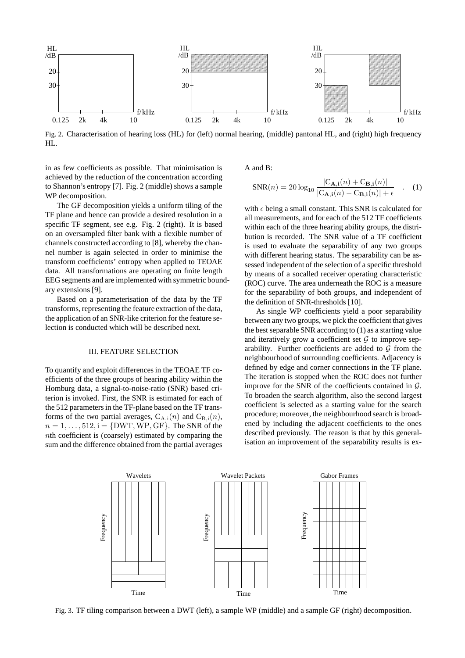

Fig. 2. Characterisation of hearing loss (HL) for (left) normal hearing, (middle) pantonal HL, and (right) high frequency HL.

in as few coefficients as possible. That minimisation is achieved by the reduction of the concentration according to Shannon's entropy [7]. Fig. 2 (middle) shows a sample WP decomposition.

The GF decomposition yields a uniform tiling of the TF plane and hence can provide a desired resolution in a specific TF segment, see e.g. Fig. 2 (right). It is based on an oversampled filter bank with a flexible number of channels constructed according to [8], whereby the channel number is again selected in order to minimise the transform coefficients' entropy when applied to TEOAE data. All transformations are operating on finite length EEG segments and are implemented with symmetric boundary extensions [9].

Based on a parameterisation of the data by the TF transforms, representing the feature extraction of the data, the application of an SNR-like criterion for the feature selection is conducted which will be described next.

#### III. FEATURE SELECTION

To quantify and exploit differences in the TEOAE TF coefficients of the three groups of hearing ability within the Homburg data, a signal-to-noise-ratio (SNR) based criterion is invoked. First, the SNR is estimated for each of the 512 parameters in the TF-plane based on the TF transforms of the two partial averages,  $C_{A,i}(n)$  and  $C_{B,i}(n)$ ,  $n = 1, \ldots, 512$ ,  $i = \{DWT, WP, GF\}$ . The SNR of the nth coefficient is (coarsely) estimated by comparing the sum and the difference obtained from the partial averages A and B:

$$
SNR(n) = 20 \log_{10} \frac{|C_{\mathbf{A},\mathbf{i}}(n) + C_{\mathbf{B},\mathbf{i}}(n)|}{|C_{\mathbf{A},\mathbf{i}}(n) - C_{\mathbf{B},\mathbf{i}}(n)| + \epsilon} \quad . \quad (1)
$$

with  $\epsilon$  being a small constant. This SNR is calculated for all measurements, and for each of the 512 TF coefficients within each of the three hearing ability groups, the distribution is recorded. The SNR value of a TF coefficient is used to evaluate the separability of any two groups with different hearing status. The separability can be assessed independent of the selection of a specific threshold by means of a socalled receiver operating characteristic (ROC) curve. The area underneath the ROC is a measure for the separability of both groups, and independent of the definition of SNR-thresholds [10].

As single WP coefficients yield a poor separability between any two groups, we pick the coefficient that gives the best separable SNR according to (1) as a starting value and iteratively grow a coefficient set  $G$  to improve separability. Further coefficients are added to  $G$  from the neighbourhood of surrounding coefficients. Adjacency is defined by edge and corner connections in the TF plane. The iteration is stopped when the ROC does not further improve for the SNR of the coefficients contained in  $G$ . To broaden the search algorithm, also the second largest coefficient is selected as a starting value for the search procedure; moreover, the neighbourhood search is broadened by including the adjacent coefficients to the ones described previously. The reason is that by this generalisation an improvement of the separability results is ex-



Fig. 3. TF tiling comparison between a DWT (left), a sample WP (middle) and a sample GF (right) decomposition.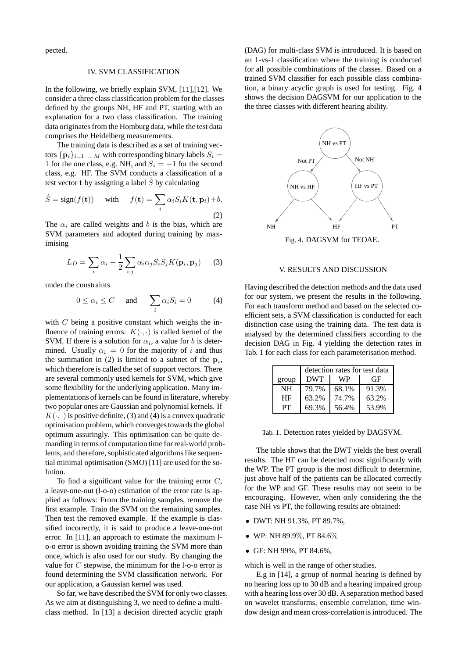pected.

### IV. SVM CLASSIFICATION

In the following, we briefly explain SVM, [11], [12]. We consider a three class classification problem for the classes defined by the groups NH, HF and PT, starting with an explanation for a two class classification. The training data originates from the Homburg data, while the test data comprises the Heidelberg measurements.

The training data is described as a set of training vectors  $\{p_i\}_{i=1}$  ... M with corresponding binary labels  $S_i =$ 1 for the one class, e.g. NH, and  $S_i = -1$  for the second class, e.g. HF. The SVM conducts a classification of a test vector **t** by assigning a label  $\hat{S}$  by calculating

$$
\hat{S} = sign(f(\mathbf{t})) \quad \text{with} \quad f(\mathbf{t}) = \sum_{i} \alpha_i S_i K(\mathbf{t}, \mathbf{p}_i) + b.
$$
\n(2)

The  $\alpha_i$  are called weights and b is the bias, which are SVM parameters and adopted during training by maximising

$$
L_D = \sum_i \alpha_i - \frac{1}{2} \sum_{i,j} \alpha_i \alpha_j S_i S_j K(\mathbf{p}_i, \mathbf{p}_j)
$$
 (3)

under the constraints

$$
0 \le \alpha_i \le C
$$
 and  $\sum_i \alpha_i S_i = 0$  (4)

with  $C$  being a positive constant which weighs the influence of training errors.  $K(\cdot, \cdot)$  is called kernel of the SVM. If there is a solution for  $\alpha_i$ , a value for b is determined. Usually  $\alpha_i = 0$  for the majority of i and thus the summation in (2) is limited to a subnet of the  $\mathbf{p}_i$ , which therefore is called the set of support vectors. There are several commonly used kernels for SVM, which give some flexibility for the underlying application. Many implementations of kernels can be found in literature, whereby two popular ones are Gaussian and polynomial kernels. If  $K(\cdot, \cdot)$  is positive definite, (3) and (4) is a convex quadratic optimisation problem, which converges towards the global optimum assuringly. This optimisation can be quite demanding in terms of computation time for real-world problems, and therefore, sophisticated algorithms like sequential minimal optimisation (SMO) [11] are used for the solution.

To find a significant value for the training error  $C$ , a leave-one-out (l-o-o) estimation of the error rate is applied as follows: From the training samples, remove the first example. Train the SVM on the remaining samples. Then test the removed example. If the example is classified incorrectly, it is said to produce a leave-one-out error. In [11], an approach to estimate the maximum lo-o error is shown avoiding training the SVM more than once, which is also used for our study. By changing the value for  $C$  stepwise, the minimum for the l-o-o error is found determining the SVM classification network. For our application, a Gaussian kernel was used.

So far, we have described the SVM for only two classes. As we aim at distinguishing 3, we need to define a multiclass method. In [13] a decision directed acyclic graph

(DAG) for multi-class SVM is introduced. It is based on an 1-vs-1 classification where the training is conducted for all possible combinations of the classes. Based on a trained SVM classifier for each possible class combination, a binary acyclic graph is used for testing. Fig. 4 shows the decision DAGSVM for our application to the the three classes with different hearing ability.



Fig. 4. DAGSVM for TEOAE.

### V. RESULTS AND DISCUSSION

Having described the detection methods and the data used for our system, we present the results in the following. For each transform method and based on the selected coefficient sets, a SVM classification is conducted for each distinction case using the training data. The test data is analysed by the determined classifiers according to the decision DAG in Fig. 4 yielding the detection rates in Tab. 1 for each class for each parameterisation method.

|           | detection rates for test data |       |       |
|-----------|-------------------------------|-------|-------|
| group     | <b>DWT</b>                    | WP    | GF    |
| <b>NH</b> | 79.7%                         | 68.1% | 91.3% |
| <b>HF</b> | 63.2%                         | 74.7% | 63.2% |
| PТ        | 69.3%                         | 56.4% | 53.9% |

Tab. 1. Detection rates yielded by DAGSVM.

The table shows that the DWT yields the best overall results. The HF can be detected most significantly with the WP. The PT group is the most difficult to determine, just above half of the patients can be allocated correctly for the WP and GF. These results may not seem to be encouraging. However, when only considering the the case NH vs PT, the following results are obtained:

- DWT: NH 91.3%, PT 89.7%,
- WP: NH 89.9%, PT 84.6%
- GF: NH 99%, PT 84.6%,

which is well in the range of other studies.

E.g in [14], a group of normal hearing is defined by no hearing loss up to 30 dB and a hearing impaired group with a hearing loss over 30 dB. A separation method based on wavelet transforms, ensemble correlation, time window design and mean cross-correlation is introduced. The